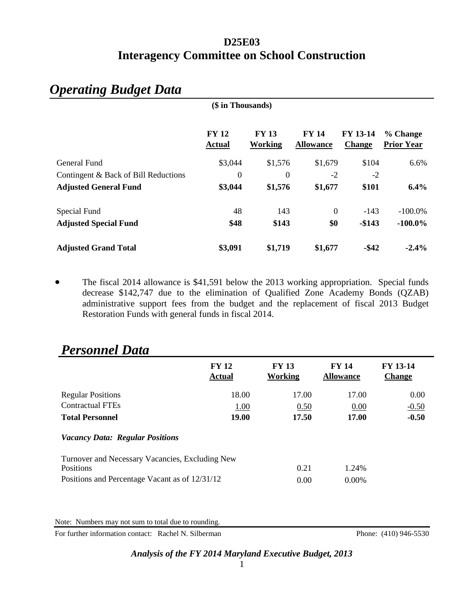## **D25E03 Interagency Committee on School Construction**

| (\$ in Thousands)                    |                               |                         |                                  |                           |                               |  |
|--------------------------------------|-------------------------------|-------------------------|----------------------------------|---------------------------|-------------------------------|--|
|                                      | <b>FY 12</b><br><b>Actual</b> | <b>FY 13</b><br>Working | <b>FY 14</b><br><b>Allowance</b> | FY 13-14<br><b>Change</b> | % Change<br><b>Prior Year</b> |  |
| General Fund                         | \$3,044                       | \$1,576                 | \$1,679                          | \$104                     | 6.6%                          |  |
| Contingent & Back of Bill Reductions | $\boldsymbol{0}$              | $\boldsymbol{0}$        | $-2$                             | $-2$                      |                               |  |
| <b>Adjusted General Fund</b>         | \$3,044                       | \$1,576                 | \$1,677                          | \$101                     | 6.4%                          |  |
| Special Fund                         | 48                            | 143                     | $\overline{0}$                   | $-143$                    | $-100.0\%$                    |  |
| <b>Adjusted Special Fund</b>         | \$48                          | \$143                   | \$0                              | $-$143$                   | $-100.0\%$                    |  |
| <b>Adjusted Grand Total</b>          | \$3,091                       | \$1,719                 | \$1,677                          | $-$ \$42                  | $-2.4%$                       |  |

# *Operating Budget Data*

• The fiscal 2014 allowance is \$41,591 below the 2013 working appropriation. Special funds decrease \$142,747 due to the elimination of Qualified Zone Academy Bonds (QZAB) administrative support fees from the budget and the replacement of fiscal 2013 Budget Restoration Funds with general funds in fiscal 2014.

| <b>FY 13-14</b><br><b>Change</b> |
|----------------------------------|
| 0.00                             |
| $-0.50$                          |
| $-0.50$                          |
|                                  |
|                                  |
|                                  |
|                                  |
|                                  |

## *Personnel Data*

Note: Numbers may not sum to total due to rounding.

For further information contact: Rachel N. Silberman Phone: (410) 946-5530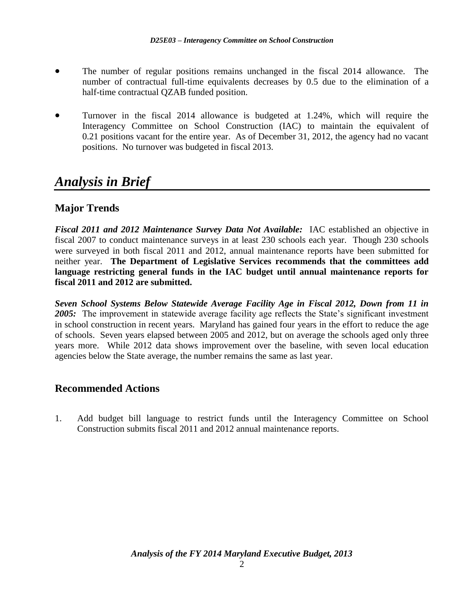- The number of regular positions remains unchanged in the fiscal 2014 allowance. The number of contractual full-time equivalents decreases by 0.5 due to the elimination of a half-time contractual QZAB funded position.
- Turnover in the fiscal 2014 allowance is budgeted at 1.24%, which will require the Interagency Committee on School Construction (IAC) to maintain the equivalent of 0.21 positions vacant for the entire year. As of December 31, 2012, the agency had no vacant positions. No turnover was budgeted in fiscal 2013.

## *Analysis in Brief*

## **Major Trends**

*Fiscal 2011 and 2012 Maintenance Survey Data Not Available:* IAC established an objective in fiscal 2007 to conduct maintenance surveys in at least 230 schools each year. Though 230 schools were surveyed in both fiscal 2011 and 2012, annual maintenance reports have been submitted for neither year. **The Department of Legislative Services recommends that the committees add language restricting general funds in the IAC budget until annual maintenance reports for fiscal 2011 and 2012 are submitted.**

*Seven School Systems Below Statewide Average Facility Age in Fiscal 2012, Down from 11 in 2005:* The improvement in statewide average facility age reflects the State's significant investment in school construction in recent years. Maryland has gained four years in the effort to reduce the age of schools. Seven years elapsed between 2005 and 2012, but on average the schools aged only three years more. While 2012 data shows improvement over the baseline, with seven local education agencies below the State average, the number remains the same as last year.

### **Recommended Actions**

1. Add budget bill language to restrict funds until the Interagency Committee on School Construction submits fiscal 2011 and 2012 annual maintenance reports.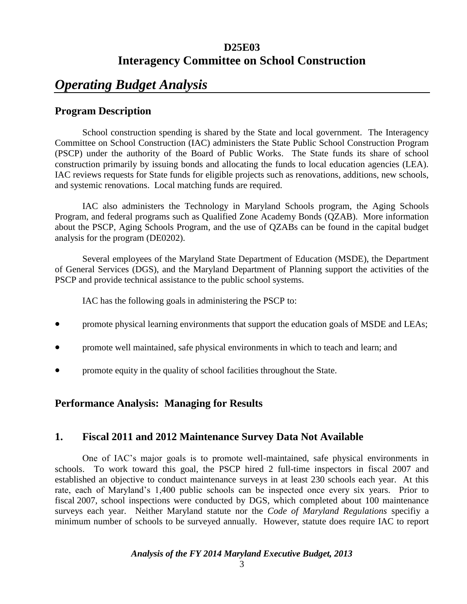## **D25E03 Interagency Committee on School Construction**

## *Operating Budget Analysis*

## **Program Description**

School construction spending is shared by the State and local government. The Interagency Committee on School Construction (IAC) administers the State Public School Construction Program (PSCP) under the authority of the Board of Public Works. The State funds its share of school construction primarily by issuing bonds and allocating the funds to local education agencies (LEA). IAC reviews requests for State funds for eligible projects such as renovations, additions, new schools, and systemic renovations. Local matching funds are required.

IAC also administers the Technology in Maryland Schools program, the Aging Schools Program, and federal programs such as Qualified Zone Academy Bonds (QZAB). More information about the PSCP, Aging Schools Program, and the use of QZABs can be found in the capital budget analysis for the program (DE0202).

Several employees of the Maryland State Department of Education (MSDE), the Department of General Services (DGS), and the Maryland Department of Planning support the activities of the PSCP and provide technical assistance to the public school systems.

IAC has the following goals in administering the PSCP to:

- **•** promote physical learning environments that support the education goals of MSDE and LEAs;
- promote well maintained, safe physical environments in which to teach and learn; and
- promote equity in the quality of school facilities throughout the State.

### **Performance Analysis: Managing for Results**

### **1. Fiscal 2011 and 2012 Maintenance Survey Data Not Available**

One of IAC's major goals is to promote well-maintained, safe physical environments in schools. To work toward this goal, the PSCP hired 2 full-time inspectors in fiscal 2007 and established an objective to conduct maintenance surveys in at least 230 schools each year. At this rate, each of Maryland's 1,400 public schools can be inspected once every six years. Prior to fiscal 2007, school inspections were conducted by DGS, which completed about 100 maintenance surveys each year. Neither Maryland statute nor the *Code of Maryland Regulations* specifiy a minimum number of schools to be surveyed annually. However, statute does require IAC to report

#### *Analysis of the FY 2014 Maryland Executive Budget, 2013*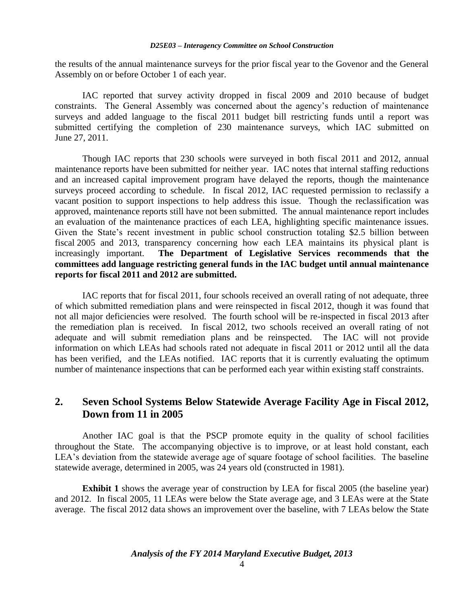#### *D25E03 – Interagency Committee on School Construction*

the results of the annual maintenance surveys for the prior fiscal year to the Govenor and the General Assembly on or before October 1 of each year.

IAC reported that survey activity dropped in fiscal 2009 and 2010 because of budget constraints. The General Assembly was concerned about the agency's reduction of maintenance surveys and added language to the fiscal 2011 budget bill restricting funds until a report was submitted certifying the completion of 230 maintenance surveys, which IAC submitted on June 27, 2011.

Though IAC reports that 230 schools were surveyed in both fiscal 2011 and 2012, annual maintenance reports have been submitted for neither year. IAC notes that internal staffing reductions and an increased capital improvement program have delayed the reports, though the maintenance surveys proceed according to schedule. In fiscal 2012, IAC requested permission to reclassify a vacant position to support inspections to help address this issue. Though the reclassification was approved, maintenance reports still have not been submitted. The annual maintenance report includes an evaluation of the maintenance practices of each LEA, highlighting specific maintenance issues. Given the State's recent investment in public school construction totaling \$2.5 billion between fiscal 2005 and 2013, transparency concerning how each LEA maintains its physical plant is increasingly important. **The Department of Legislative Services recommends that the committees add language restricting general funds in the IAC budget until annual maintenance reports for fiscal 2011 and 2012 are submitted.**

IAC reports that for fiscal 2011, four schools received an overall rating of not adequate, three of which submitted remediation plans and were reinspected in fiscal 2012, though it was found that not all major deficiencies were resolved. The fourth school will be re-inspected in fiscal 2013 after the remediation plan is received. In fiscal 2012, two schools received an overall rating of not adequate and will submit remediation plans and be reinspected. The IAC will not provide information on which LEAs had schools rated not adequate in fiscal 2011 or 2012 until all the data has been verified, and the LEAs notified. IAC reports that it is currently evaluating the optimum number of maintenance inspections that can be performed each year within existing staff constraints.

### **2. Seven School Systems Below Statewide Average Facility Age in Fiscal 2012, Down from 11 in 2005**

Another IAC goal is that the PSCP promote equity in the quality of school facilities throughout the State. The accompanying objective is to improve, or at least hold constant, each LEA's deviation from the statewide average age of square footage of school facilities. The baseline statewide average, determined in 2005, was 24 years old (constructed in 1981).

**Exhibit 1** shows the average year of construction by LEA for fiscal 2005 (the baseline year) and 2012. In fiscal 2005, 11 LEAs were below the State average age, and 3 LEAs were at the State average. The fiscal 2012 data shows an improvement over the baseline, with 7 LEAs below the State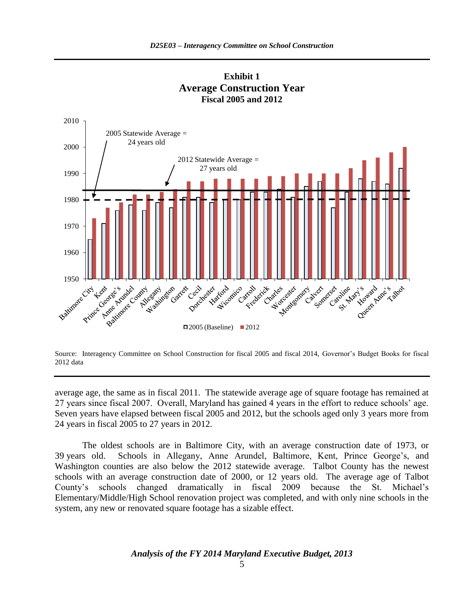

**Exhibit 1 Average Construction Year Fiscal 2005 and 2012**

Source: Interagency Committee on School Construction for fiscal 2005 and fiscal 2014, Governor's Budget Books for fiscal 2012 data

average age, the same as in fiscal 2011. The statewide average age of square footage has remained at 27 years since fiscal 2007. Overall, Maryland has gained 4 years in the effort to reduce schools' age. Seven years have elapsed between fiscal 2005 and 2012, but the schools aged only 3 years more from 24 years in fiscal 2005 to 27 years in 2012.

The oldest schools are in Baltimore City, with an average construction date of 1973, or 39 years old. Schools in Allegany, Anne Arundel, Baltimore, Kent, Prince George's, and Washington counties are also below the 2012 statewide average. Talbot County has the newest schools with an average construction date of 2000, or 12 years old. The average age of Talbot County's schools changed dramatically in fiscal 2009 because the St. Michael's Elementary/Middle/High School renovation project was completed, and with only nine schools in the system, any new or renovated square footage has a sizable effect.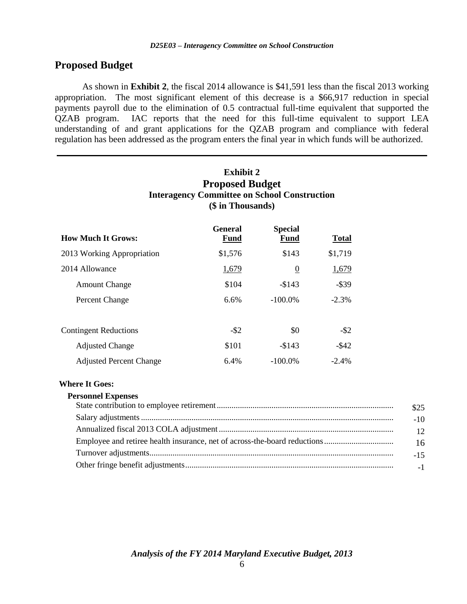### **Proposed Budget**

As shown in **Exhibit 2**, the fiscal 2014 allowance is \$41,591 less than the fiscal 2013 working appropriation. The most significant element of this decrease is a \$66,917 reduction in special payments payroll due to the elimination of 0.5 contractual full-time equivalent that supported the QZAB program. IAC reports that the need for this full-time equivalent to support LEA understanding of and grant applications for the QZAB program and compliance with federal regulation has been addressed as the program enters the final year in which funds will be authorized.

|                                | <b>Exhibit 2</b><br><b>Proposed Budget</b><br><b>Interagency Committee on School Construction</b><br>(\$ in Thousands) |                        |              |  |  |
|--------------------------------|------------------------------------------------------------------------------------------------------------------------|------------------------|--------------|--|--|
| <b>How Much It Grows:</b>      | <b>General</b><br><b>Fund</b>                                                                                          | <b>Special</b><br>Fund | <b>Total</b> |  |  |
| 2013 Working Appropriation     | \$1,576                                                                                                                | \$143                  | \$1,719      |  |  |
| 2014 Allowance                 | 1,679                                                                                                                  | $\overline{0}$         | 1,679        |  |  |
| <b>Amount Change</b>           | \$104                                                                                                                  | $-\$143$               | $-$ \$39     |  |  |
| Percent Change                 | 6.6%                                                                                                                   | $-100.0\%$             | $-2.3%$      |  |  |
| <b>Contingent Reductions</b>   | $-$ \$2                                                                                                                | \$0                    | $-$ \$2      |  |  |
| <b>Adjusted Change</b>         | \$101                                                                                                                  | $-$143$                | $-$ \$42     |  |  |
| <b>Adjusted Percent Change</b> | 6.4%                                                                                                                   | $-100.0\%$             | $-2.4\%$     |  |  |

#### **Where It Goes:**

#### **Personnel Expenses**

| \$25            |
|-----------------|
| $-10$           |
| 12 <sup>2</sup> |
| 16              |
| $-15$           |
| $-1$            |

*Analysis of the FY 2014 Maryland Executive Budget, 2013*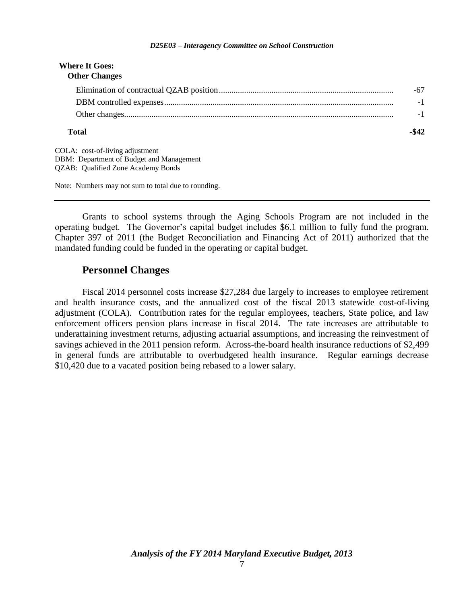#### *D25E03 – Interagency Committee on School Construction*

| <b>Where It Goes:</b><br><b>Other Changes</b>                               |       |
|-----------------------------------------------------------------------------|-------|
|                                                                             | -67   |
|                                                                             | $-1$  |
|                                                                             | $-1$  |
| Total                                                                       | -\$42 |
| COLA: cost-of-living adjustment<br>DBM: Department of Budget and Management |       |
| <b>QZAB: Qualified Zone Academy Bonds</b>                                   |       |

Note: Numbers may not sum to total due to rounding.

Grants to school systems through the Aging Schools Program are not included in the operating budget. The Governor's capital budget includes \$6.1 million to fully fund the program. Chapter 397 of 2011 (the Budget Reconciliation and Financing Act of 2011) authorized that the mandated funding could be funded in the operating or capital budget.

#### **Personnel Changes**

Fiscal 2014 personnel costs increase \$27,284 due largely to increases to employee retirement and health insurance costs, and the annualized cost of the fiscal 2013 statewide cost-of-living adjustment (COLA). Contribution rates for the regular employees, teachers, State police, and law enforcement officers pension plans increase in fiscal 2014. The rate increases are attributable to underattaining investment returns, adjusting actuarial assumptions, and increasing the reinvestment of savings achieved in the 2011 pension reform. Across-the-board health insurance reductions of \$2,499 in general funds are attributable to overbudgeted health insurance. Regular earnings decrease \$10,420 due to a vacated position being rebased to a lower salary.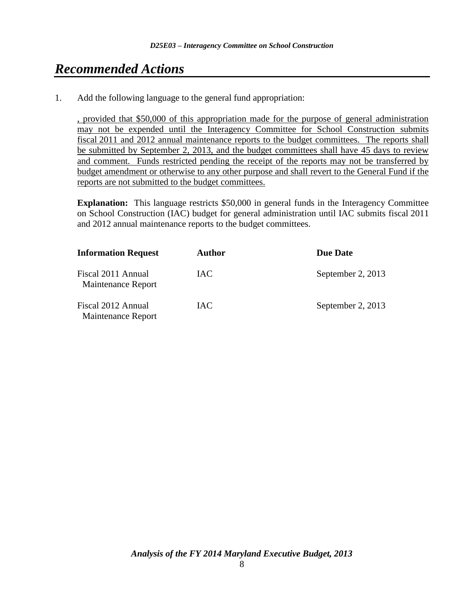# *Recommended Actions*

1. Add the following language to the general fund appropriation:

, provided that \$50,000 of this appropriation made for the purpose of general administration may not be expended until the Interagency Committee for School Construction submits fiscal 2011 and 2012 annual maintenance reports to the budget committees. The reports shall be submitted by September 2, 2013, and the budget committees shall have 45 days to review and comment. Funds restricted pending the receipt of the reports may not be transferred by budget amendment or otherwise to any other purpose and shall revert to the General Fund if the reports are not submitted to the budget committees.

**Explanation:** This language restricts \$50,000 in general funds in the Interagency Committee on School Construction (IAC) budget for general administration until IAC submits fiscal 2011 and 2012 annual maintenance reports to the budget committees.

| <b>Information Request</b>               | Author     | <b>Due Date</b>   |
|------------------------------------------|------------|-------------------|
| Fiscal 2011 Annual<br>Maintenance Report | IAC.       | September 2, 2013 |
| Fiscal 2012 Annual<br>Maintenance Report | <b>IAC</b> | September 2, 2013 |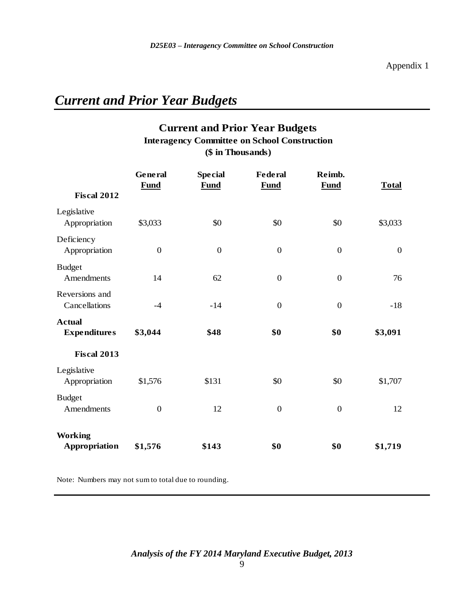# *Current and Prior Year Budgets*

## **Current and Prior Year Budgets (\$ in Thousands) Interagency Committee on School Construction**

|                                      | General<br><b>Fund</b> | <b>Special</b><br><b>Fund</b> | <b>Federal</b><br><b>Fund</b> | Reimb.<br><b>Fund</b> | <b>Total</b>     |
|--------------------------------------|------------------------|-------------------------------|-------------------------------|-----------------------|------------------|
| <b>Fiscal 2012</b>                   |                        |                               |                               |                       |                  |
| Legislative<br>Appropriation         | \$3,033                | \$0                           | \$0                           | \$0                   | \$3,033          |
| Deficiency<br>Appropriation          | $\boldsymbol{0}$       | $\boldsymbol{0}$              | $\overline{0}$                | $\overline{0}$        | $\boldsymbol{0}$ |
| <b>Budget</b><br>Amendments          | 14                     | 62                            | $\boldsymbol{0}$              | $\boldsymbol{0}$      | 76               |
| Reversions and<br>Cancellations      | $-4$                   | $-14$                         | $\overline{0}$                | $\overline{0}$        | $-18$            |
| <b>Actual</b><br><b>Expenditures</b> | \$3,044                | \$48                          | \$0                           | \$0                   | \$3,091          |
| <b>Fiscal 2013</b>                   |                        |                               |                               |                       |                  |
| Legislative<br>Appropriation         | \$1,576                | \$131                         | \$0                           | \$0                   | \$1,707          |
| <b>Budget</b><br>Amendments          | $\boldsymbol{0}$       | 12                            | $\boldsymbol{0}$              | $\boldsymbol{0}$      | 12               |
| <b>Working</b><br>Appropriation      | \$1,576                | \$143                         | \$0                           | \$0                   | \$1,719          |

Note: Numbers may not sum to total due to rounding.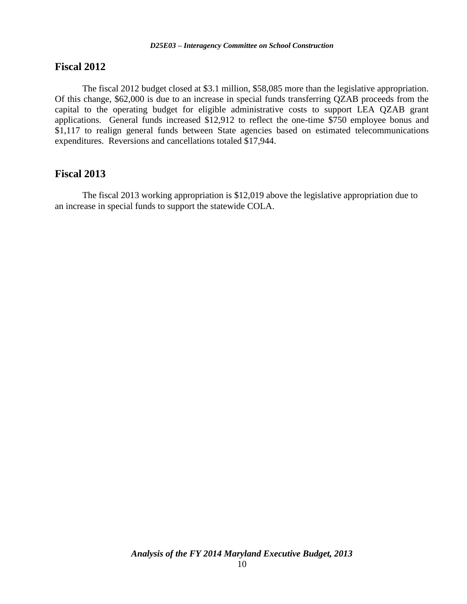#### **Fiscal 2012**

The fiscal 2012 budget closed at \$3.1 million, \$58,085 more than the legislative appropriation. Of this change, \$62,000 is due to an increase in special funds transferring QZAB proceeds from the capital to the operating budget for eligible administrative costs to support LEA QZAB grant applications. General funds increased \$12,912 to reflect the one-time \$750 employee bonus and \$1,117 to realign general funds between State agencies based on estimated telecommunications expenditures. Reversions and cancellations totaled \$17,944.

#### **Fiscal 2013**

The fiscal 2013 working appropriation is \$12,019 above the legislative appropriation due to an increase in special funds to support the statewide COLA.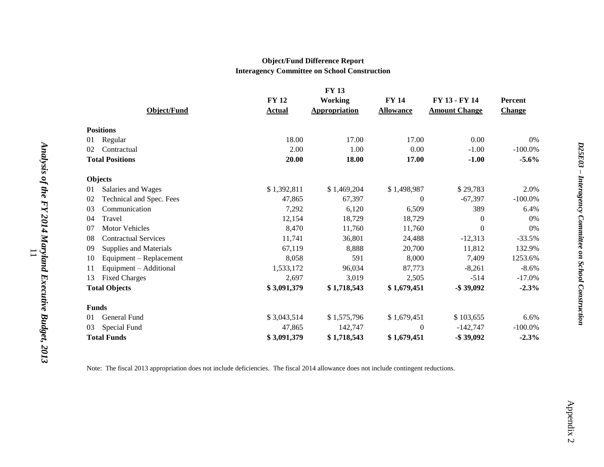#### **Object/Fund Difference Report Interagency Committee on School Construction**

|                                   |               | <b>FY 13</b>         |                  |                      |               |
|-----------------------------------|---------------|----------------------|------------------|----------------------|---------------|
|                                   | <b>FY 12</b>  | <b>Working</b>       | <b>FY 14</b>     | FY 13 - FY 14        | Percent       |
| Object/Fund                       | <b>Actual</b> | <b>Appropriation</b> | <b>Allowance</b> | <b>Amount Change</b> | <b>Change</b> |
| <b>Positions</b>                  |               |                      |                  |                      |               |
| Regular<br>01                     | 18.00         | 17.00                | 17.00            | 0.00                 | 0%            |
| Contractual<br>02                 | 2.00          | 1.00                 | 0.00             | $-1.00$              | $-100.0\%$    |
| <b>Total Positions</b>            | 20.00         | 18.00                | 17.00            | $-1.00$              | $-5.6%$       |
| <b>Objects</b>                    |               |                      |                  |                      |               |
| Salaries and Wages<br>01          | \$1,392,811   | \$1,469,204          | \$1,498,987      | \$29,783             | 2.0%          |
| Technical and Spec. Fees<br>02    | 47,865        | 67,397               | $\overline{0}$   | $-67,397$            | $-100.0%$     |
| Communication<br>03               | 7,292         | 6,120                | 6,509            | 389                  | 6.4%          |
| Travel<br>04                      | 12,154        | 18,729               | 18,729           | $\mathbf{0}$         | 0%            |
| Motor Vehicles<br>07              | 8,470         | 11,760               | 11,760           | $\boldsymbol{0}$     | 0%            |
| <b>Contractual Services</b><br>08 | 11,741        | 36,801               | 24,488           | $-12,313$            | $-33.5%$      |
| 09<br>Supplies and Materials      | 67,119        | 8,888                | 20,700           | 11,812               | 132.9%        |
| Equipment – Replacement<br>10     | 8,058         | 591                  | 8,000            | 7,409                | 1253.6%       |
| Equipment - Additional<br>11      | 1,533,172     | 96,034               | 87,773           | $-8,261$             | $-8.6%$       |
| <b>Fixed Charges</b><br>13        | 2,697         | 3,019                | 2,505            | $-514$               | $-17.0%$      |
| <b>Total Objects</b>              | \$3,091,379   | \$1,718,543          | \$1,679,451      | $-$ \$39,092         | $-2.3%$       |
| <b>Funds</b>                      |               |                      |                  |                      |               |
| General Fund<br>01                | \$3,043,514   | \$1,575,796          | \$1,679,451      | \$103,655            | 6.6%          |
| Special Fund<br>03                | 47,865        | 142,747              | $\Omega$         | $-142,747$           | $-100.0\%$    |
| <b>Total Funds</b>                | \$3,091,379   | \$1,718,543          | \$1,679,451      | $-$ \$39,092         | $-2.3%$       |

Note: The fiscal 2013 appropriation does not include deficiencies. The fiscal 2014 allowance does not include contingent reductions.